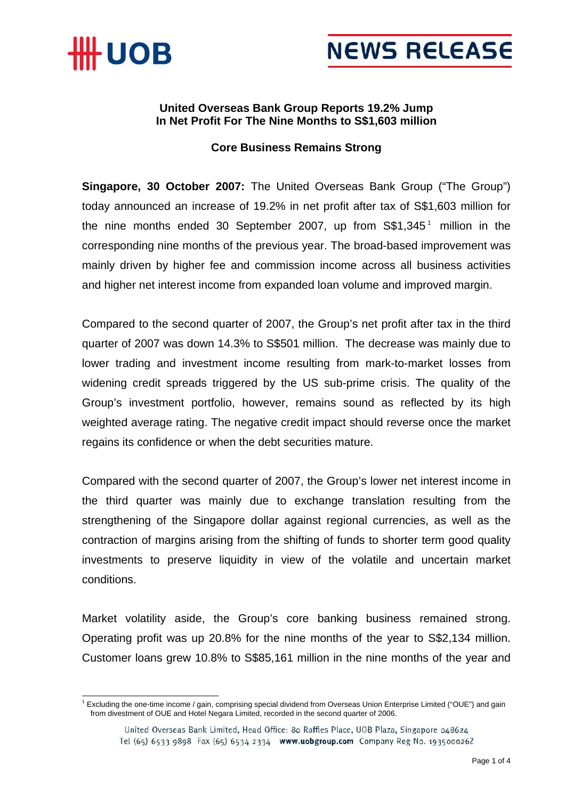



## **United Overseas Bank Group Reports 19.2% Jump In Net Profit For The Nine Months to S\$1,603 million**

### **Core Business Remains Strong**

**Singapore, 30 October 2007:** The United Overseas Bank Group ("The Group") today announced an increase of 19.2% in net profit after tax of S\$1,603 million for the nine months ended 30 September 2007, up from  $S$1,345<sup>1</sup>$  million in the corresponding nine months of the previous year. The broad-based improvement was mainly driven by higher fee and commission income across all business activities and higher net interest income from expanded loan volume and improved margin.

Compared to the second quarter of 2007, the Group's net profit after tax in the third quarter of 2007 was down 14.3% to S\$501 million. The decrease was mainly due to lower trading and investment income resulting from mark-to-market losses from widening credit spreads triggered by the US sub-prime crisis. The quality of the Group's investment portfolio, however, remains sound as reflected by its high weighted average rating. The negative credit impact should reverse once the market regains its confidence or when the debt securities mature.

Compared with the second quarter of 2007, the Group's lower net interest income in the third quarter was mainly due to exchange translation resulting from the strengthening of the Singapore dollar against regional currencies, as well as the contraction of margins arising from the shifting of funds to shorter term good quality investments to preserve liquidity in view of the volatile and uncertain market conditions.

Market volatility aside, the Group's core banking business remained strong. Operating profit was up 20.8% for the nine months of the year to S\$2,134 million. Customer loans grew 10.8% to S\$85,161 million in the nine months of the year and

 $\frac{1}{1}$  $^1$  Excluding the one-time income / gain, comprising special dividend from Overseas Union Enterprise Limited ("OUE") and gain from divestment of OUE and Hotel Negara Limited, recorded in the second quarter of 2006.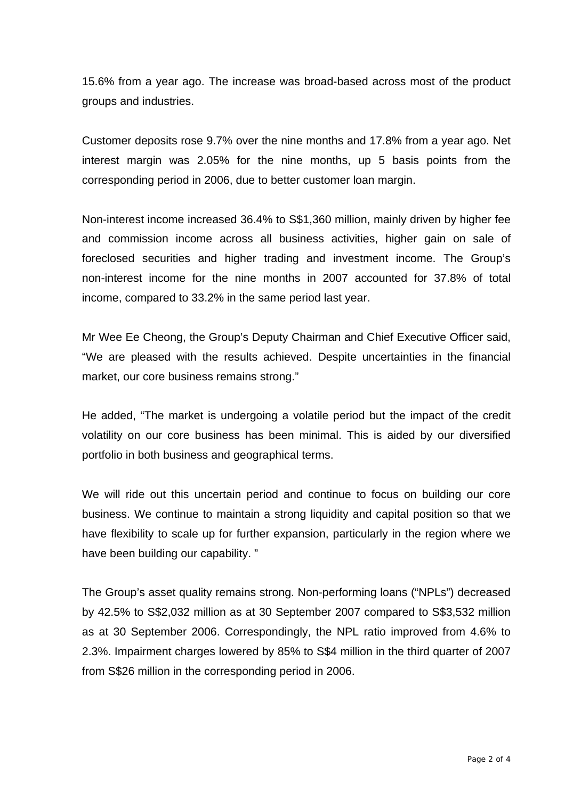15.6% from a year ago. The increase was broad-based across most of the product groups and industries.

Customer deposits rose 9.7% over the nine months and 17.8% from a year ago. Net interest margin was 2.05% for the nine months, up 5 basis points from the corresponding period in 2006, due to better customer loan margin.

Non-interest income increased 36.4% to S\$1,360 million, mainly driven by higher fee and commission income across all business activities, higher gain on sale of foreclosed securities and higher trading and investment income. The Group's non-interest income for the nine months in 2007 accounted for 37.8% of total income, compared to 33.2% in the same period last year.

Mr Wee Ee Cheong, the Group's Deputy Chairman and Chief Executive Officer said, "We are pleased with the results achieved. Despite uncertainties in the financial market, our core business remains strong."

He added, "The market is undergoing a volatile period but the impact of the credit volatility on our core business has been minimal. This is aided by our diversified portfolio in both business and geographical terms.

We will ride out this uncertain period and continue to focus on building our core business. We continue to maintain a strong liquidity and capital position so that we have flexibility to scale up for further expansion, particularly in the region where we have been building our capability. "

The Group's asset quality remains strong. Non-performing loans ("NPLs") decreased by 42.5% to S\$2,032 million as at 30 September 2007 compared to S\$3,532 million as at 30 September 2006. Correspondingly, the NPL ratio improved from 4.6% to 2.3%. Impairment charges lowered by 85% to S\$4 million in the third quarter of 2007 from S\$26 million in the corresponding period in 2006.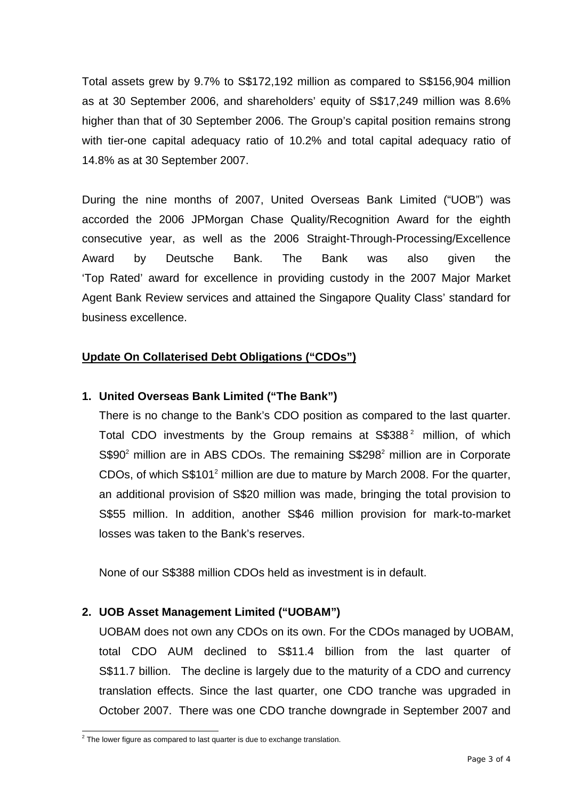Total assets grew by 9.7% to S\$172,192 million as compared to S\$156,904 million as at 30 September 2006, and shareholders' equity of S\$17,249 million was 8.6% higher than that of 30 September 2006. The Group's capital position remains strong with tier-one capital adequacy ratio of 10.2% and total capital adequacy ratio of 14.8% as at 30 September 2007.

During the nine months of 2007, United Overseas Bank Limited ("UOB") was accorded the 2006 JPMorgan Chase Quality/Recognition Award for the eighth consecutive year, as well as the 2006 Straight-Through-Processing/Excellence Award by Deutsche Bank. The Bank was also given the 'Top Rated' award for excellence in providing custody in the 2007 Major Market Agent Bank Review services and attained the Singapore Quality Class' standard for business excellence.

## **Update On Collaterised Debt Obligations ("CDOs")**

## **1. United Overseas Bank Limited ("The Bank")**

There is no change to the Bank's CDO position as compared to the last quarter. Total CDO investments by the Group remains at S\$388<sup>2</sup> million, of which  $S$90<sup>2</sup>$  million are in ABS CDOs. The remaining  $S$298<sup>2</sup>$  million are in Corporate CDOs, of which  $S$101<sup>2</sup>$  million are due to mature by March 2008. For the quarter, an additional provision of S\$20 million was made, bringing the total provision to S\$55 million. In addition, another S\$46 million provision for mark-to-market losses was taken to the Bank's reserves.

None of our S\$388 million CDOs held as investment is in default.

#### **2. UOB Asset Management Limited ("UOBAM")**

UOBAM does not own any CDOs on its own. For the CDOs managed by UOBAM, total CDO AUM declined to S\$11.4 billion from the last quarter of S\$11.7 billion. The decline is largely due to the maturity of a CDO and currency translation effects. Since the last quarter, one CDO tranche was upgraded in October 2007. There was one CDO tranche downgrade in September 2007 and

 $\frac{1}{2}$  $2$  The lower figure as compared to last quarter is due to exchange translation.